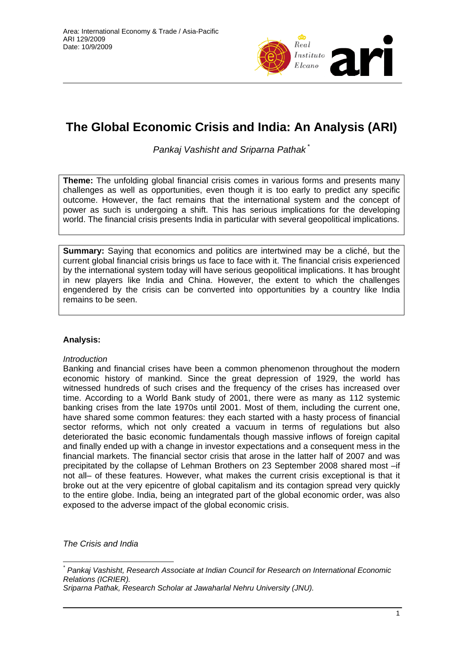

## **The Global Economic Crisis and India: An Analysis (ARI)**

*Pankaj Vashisht and Sriparna Pathak* \*

**Theme:** The unfolding global financial crisis comes in various forms and presents many challenges as well as opportunities, even though it is too early to predict any specific outcome. However, the fact remains that the international system and the concept of power as such is undergoing a shift. This has serious implications for the developing world. The financial crisis presents India in particular with several geopolitical implications.

**Summary:** Saying that economics and politics are intertwined may be a cliché, but the current global financial crisis brings us face to face with it. The financial crisis experienced by the international system today will have serious geopolitical implications. It has brought in new players like India and China. However, the extent to which the challenges engendered by the crisis can be converted into opportunities by a country like India remains to be seen.

## **Analysis:**

## *Introduction*

Banking and financial crises have been a common phenomenon throughout the modern economic history of mankind. Since the great depression of 1929, the world has witnessed hundreds of such crises and the frequency of the crises has increased over time. According to a World Bank study of 2001, there were as many as 112 systemic banking crises from the late 1970s until 2001. Most of them, including the current one, have shared some common features: they each started with a hasty process of financial sector reforms, which not only created a vacuum in terms of regulations but also deteriorated the basic economic fundamentals though massive inflows of foreign capital and finally ended up with a change in investor expectations and a consequent mess in the financial markets. The financial sector crisis that arose in the latter half of 2007 and was precipitated by the collapse of Lehman Brothers on 23 September 2008 shared most –if not all– of these features. However, what makes the current crisis exceptional is that it broke out at the very epicentre of global capitalism and its contagion spread very quickly to the entire globe. India, being an integrated part of the global economic order, was also exposed to the adverse impact of the global economic crisis.

*The Crisis and India* 

 $\overline{a}$ 

*<sup>\*</sup> Pankaj Vashisht, Research Associate at Indian Council for Research on International Economic Relations (ICRIER).* 

*Sriparna Pathak, Research Scholar at Jawaharlal Nehru University (JNU).*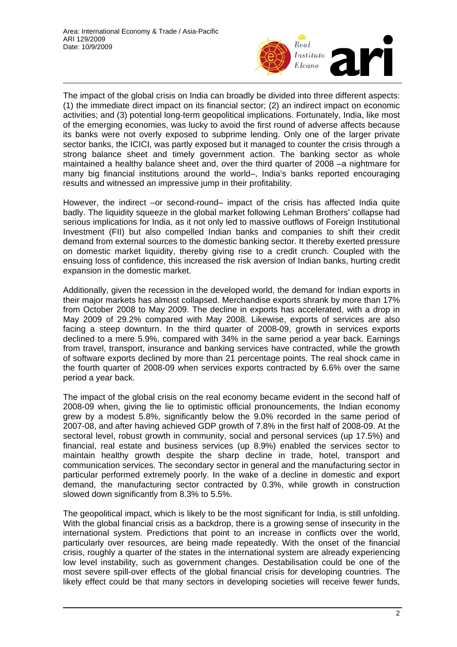

The impact of the global crisis on India can broadly be divided into three different aspects: (1) the immediate direct impact on its financial sector; (2) an indirect impact on economic activities; and (3) potential long-term geopolitical implications. Fortunately, India, like most of the emerging economies, was lucky to avoid the first round of adverse affects because its banks were not overly exposed to subprime lending. Only one of the larger private sector banks, the ICICI, was partly exposed but it managed to counter the crisis through a strong balance sheet and timely government action. The banking sector as whole maintained a healthy balance sheet and, over the third quarter of 2008 –a nightmare for many big financial institutions around the world–, India's banks reported encouraging results and witnessed an impressive jump in their profitability.

However, the indirect –or second-round– impact of the crisis has affected India quite badly. The liquidity squeeze in the global market following Lehman Brothers' collapse had serious implications for India, as it not only led to massive outflows of Foreign Institutional Investment (FII) but also compelled Indian banks and companies to shift their credit demand from external sources to the domestic banking sector. It thereby exerted pressure on domestic market liquidity, thereby giving rise to a credit crunch. Coupled with the ensuing loss of confidence, this increased the risk aversion of Indian banks, hurting credit expansion in the domestic market.

Additionally, given the recession in the developed world, the demand for Indian exports in their major markets has almost collapsed. Merchandise exports shrank by more than 17% from October 2008 to May 2009. The decline in exports has accelerated, with a drop in May 2009 of 29.2% compared with May 2008. Likewise, exports of services are also facing a steep downturn. In the third quarter of 2008-09, growth in services exports declined to a mere 5.9%, compared with 34% in the same period a year back. Earnings from travel, transport, insurance and banking services have contracted, while the growth of software exports declined by more than 21 percentage points. The real shock came in the fourth quarter of 2008-09 when services exports contracted by 6.6% over the same period a year back.

The impact of the global crisis on the real economy became evident in the second half of 2008-09 when, giving the lie to optimistic official pronouncements, the Indian economy grew by a modest 5.8%, significantly below the 9.0% recorded in the same period of 2007-08, and after having achieved GDP growth of 7.8% in the first half of 2008-09. At the sectoral level, robust growth in community, social and personal services (up 17.5%) and financial, real estate and business services (up 8.9%) enabled the services sector to maintain healthy growth despite the sharp decline in trade, hotel, transport and communication services. The secondary sector in general and the manufacturing sector in particular performed extremely poorly. In the wake of a decline in domestic and export demand, the manufacturing sector contracted by 0.3%, while growth in construction slowed down significantly from 8.3% to 5.5%.

The geopolitical impact, which is likely to be the most significant for India, is still unfolding. With the global financial crisis as a backdrop, there is a growing sense of insecurity in the international system. Predictions that point to an increase in conflicts over the world, particularly over resources, are being made repeatedly. With the onset of the financial crisis, roughly a quarter of the states in the international system are already experiencing low level instability, such as government changes. Destabilisation could be one of the most severe spill-over effects of the global financial crisis for developing countries. The likely effect could be that many sectors in developing societies will receive fewer funds,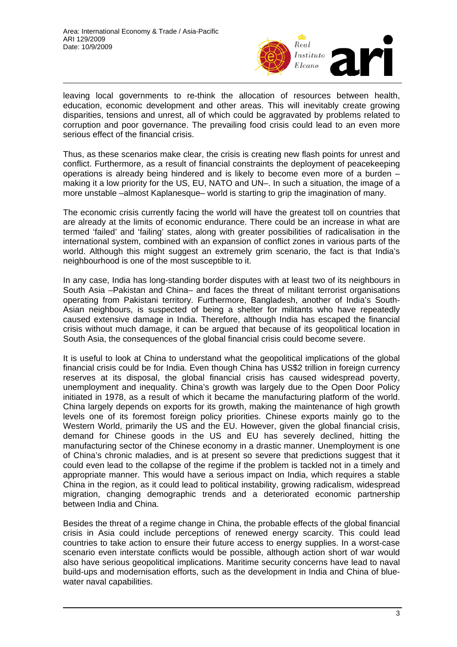

leaving local governments to re-think the allocation of resources between health, education, economic development and other areas. This will inevitably create growing disparities, tensions and unrest, all of which could be aggravated by problems related to corruption and poor governance. The prevailing food crisis could lead to an even more serious effect of the financial crisis.

Thus, as these scenarios make clear, the crisis is creating new flash points for unrest and conflict. Furthermore, as a result of financial constraints the deployment of peacekeeping operations is already being hindered and is likely to become even more of a burden – making it a low priority for the US, EU, NATO and UN–. In such a situation, the image of a more unstable –almost Kaplanesque– world is starting to grip the imagination of many.

The economic crisis currently facing the world will have the greatest toll on countries that are already at the limits of economic endurance. There could be an increase in what are termed 'failed' and 'failing' states, along with greater possibilities of radicalisation in the international system, combined with an expansion of conflict zones in various parts of the world. Although this might suggest an extremely grim scenario, the fact is that India's neighbourhood is one of the most susceptible to it.

In any case, India has long-standing border disputes with at least two of its neighbours in South Asia –Pakistan and China– and faces the threat of militant terrorist organisations operating from Pakistani territory. Furthermore, Bangladesh, another of India's South-Asian neighbours, is suspected of being a shelter for militants who have repeatedly caused extensive damage in India. Therefore, although India has escaped the financial crisis without much damage, it can be argued that because of its geopolitical location in South Asia, the consequences of the global financial crisis could become severe.

It is useful to look at China to understand what the geopolitical implications of the global financial crisis could be for India. Even though China has US\$2 trillion in foreign currency reserves at its disposal, the global financial crisis has caused widespread poverty, unemployment and inequality. China's growth was largely due to the Open Door Policy initiated in 1978, as a result of which it became the manufacturing platform of the world. China largely depends on exports for its growth, making the maintenance of high growth levels one of its foremost foreign policy priorities. Chinese exports mainly go to the Western World, primarily the US and the EU. However, given the global financial crisis, demand for Chinese goods in the US and EU has severely declined, hitting the manufacturing sector of the Chinese economy in a drastic manner. Unemployment is one of China's chronic maladies, and is at present so severe that predictions suggest that it could even lead to the collapse of the regime if the problem is tackled not in a timely and appropriate manner. This would have a serious impact on India, which requires a stable China in the region, as it could lead to political instability, growing radicalism, widespread migration, changing demographic trends and a deteriorated economic partnership between India and China.

Besides the threat of a regime change in China, the probable effects of the global financial crisis in Asia could include perceptions of renewed energy scarcity. This could lead countries to take action to ensure their future access to energy supplies. In a worst-case scenario even interstate conflicts would be possible, although action short of war would also have serious geopolitical implications. Maritime security concerns have lead to naval build-ups and modernisation efforts, such as the development in India and China of bluewater naval capabilities.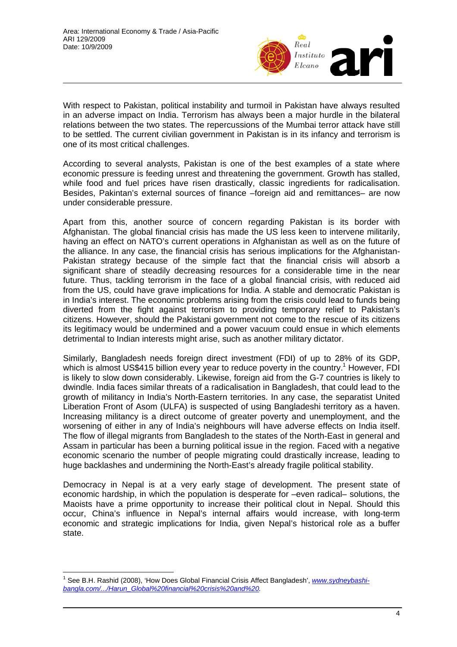

With respect to Pakistan, political instability and turmoil in Pakistan have always resulted in an adverse impact on India. Terrorism has always been a major hurdle in the bilateral relations between the two states. The repercussions of the Mumbai terror attack have still to be settled. The current civilian government in Pakistan is in its infancy and terrorism is one of its most critical challenges.

According to several analysts, Pakistan is one of the best examples of a state where economic pressure is feeding unrest and threatening the government. Growth has stalled, while food and fuel prices have risen drastically, classic ingredients for radicalisation. Besides, Pakintan's external sources of finance –foreign aid and remittances– are now under considerable pressure.

Apart from this, another source of concern regarding Pakistan is its border with Afghanistan. The global financial crisis has made the US less keen to intervene militarily, having an effect on NATO's current operations in Afghanistan as well as on the future of the alliance. In any case, the financial crisis has serious implications for the Afghanistan-Pakistan strategy because of the simple fact that the financial crisis will absorb a significant share of steadily decreasing resources for a considerable time in the near future. Thus, tackling terrorism in the face of a global financial crisis, with reduced aid from the US, could have grave implications for India. A stable and democratic Pakistan is in India's interest. The economic problems arising from the crisis could lead to funds being diverted from the fight against terrorism to providing temporary relief to Pakistan's citizens. However, should the Pakistani government not come to the rescue of its citizens its legitimacy would be undermined and a power vacuum could ensue in which elements detrimental to Indian interests might arise, such as another military dictator.

Similarly, Bangladesh needs foreign direct investment (FDI) of up to 28% of its GDP, which is almost US\$415 billion every year to reduce poverty in the country.<sup>1</sup> However, FDI is likely to slow down considerably. Likewise, foreign aid from the G-7 countries is likely to dwindle. India faces similar threats of a radicalisation in Bangladesh, that c[ou](#page-3-0)ld lead to the growth of militancy in India's North-Eastern territories. In any case, the separatist United Liberation Front of Asom (ULFA) is suspected of using Bangladeshi territory as a haven. Increasing militancy is a direct outcome of greater poverty and unemployment, and the worsening of either in any of India's neighbours will have adverse effects on India itself. The flow of illegal migrants from Bangladesh to the states of the North-East in general and Assam in particular has been a burning political issue in the region. Faced with a negative economic scenario the number of people migrating could drastically increase, leading to huge backlashes and undermining the North-East's already fragile political stability.

Democracy in Nepal is at a very early stage of development. The present state of economic hardship, in which the population is desperate for –even radical– solutions, the Maoists have a prime opportunity to increase their political clout in Nepal. Should this occur, China's influence in Nepal's internal affairs would increase, with long-term economic and strategic implications for India, given Nepal's historical role as a buffer state.

 $\overline{a}$ 

<span id="page-3-0"></span><sup>&</sup>lt;sup>1</sup> See B.H. Rashid (2008), 'How Does Global Financial Crisis Affect Bangladesh', www.sydneybashi*bangla.com/.../Harun\_Global%20financial%20crisis%20and%20.*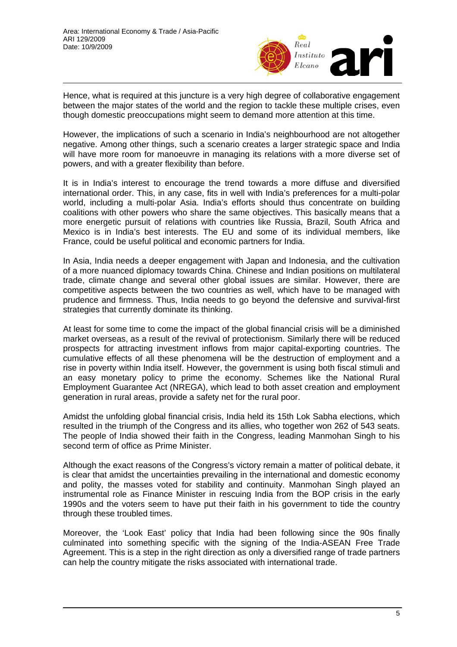

Hence, what is required at this juncture is a very high degree of collaborative engagement between the major states of the world and the region to tackle these multiple crises, even though domestic preoccupations might seem to demand more attention at this time.

However, the implications of such a scenario in India's neighbourhood are not altogether negative. Among other things, such a scenario creates a larger strategic space and India will have more room for manoeuvre in managing its relations with a more diverse set of powers, and with a greater flexibility than before.

It is in India's interest to encourage the trend towards a more diffuse and diversified international order. This, in any case, fits in well with India's preferences for a multi-polar world, including a multi-polar Asia. India's efforts should thus concentrate on building coalitions with other powers who share the same objectives. This basically means that a more energetic pursuit of relations with countries like Russia, Brazil, South Africa and Mexico is in India's best interests. The EU and some of its individual members, like France, could be useful political and economic partners for India.

In Asia, India needs a deeper engagement with Japan and Indonesia, and the cultivation of a more nuanced diplomacy towards China. Chinese and Indian positions on multilateral trade, climate change and several other global issues are similar. However, there are competitive aspects between the two countries as well, which have to be managed with prudence and firmness. Thus, India needs to go beyond the defensive and survival-first strategies that currently dominate its thinking.

At least for some time to come the impact of the global financial crisis will be a diminished market overseas, as a result of the revival of protectionism. Similarly there will be reduced prospects for attracting investment inflows from major capital-exporting countries. The cumulative effects of all these phenomena will be the destruction of employment and a rise in poverty within India itself. However, the government is using both fiscal stimuli and an easy monetary policy to prime the economy. Schemes like the National Rural Employment Guarantee Act (NREGA), which lead to both asset creation and employment generation in rural areas, provide a safety net for the rural poor.

Amidst the unfolding global financial crisis, India held its 15th Lok Sabha elections, which resulted in the triumph of the Congress and its allies, who together won 262 of 543 seats. The people of India showed their faith in the Congress, leading Manmohan Singh to his second term of office as Prime Minister.

Although the exact reasons of the Congress's victory remain a matter of political debate, it is clear that amidst the uncertainties prevailing in the international and domestic economy and polity, the masses voted for stability and continuity. Manmohan Singh played an instrumental role as Finance Minister in rescuing India from the BOP crisis in the early 1990s and the voters seem to have put their faith in his government to tide the country through these troubled times.

Moreover, the 'Look East' policy that India had been following since the 90s finally culminated into something specific with the signing of the India-ASEAN Free Trade Agreement. This is a step in the right direction as only a diversified range of trade partners can help the country mitigate the risks associated with international trade.